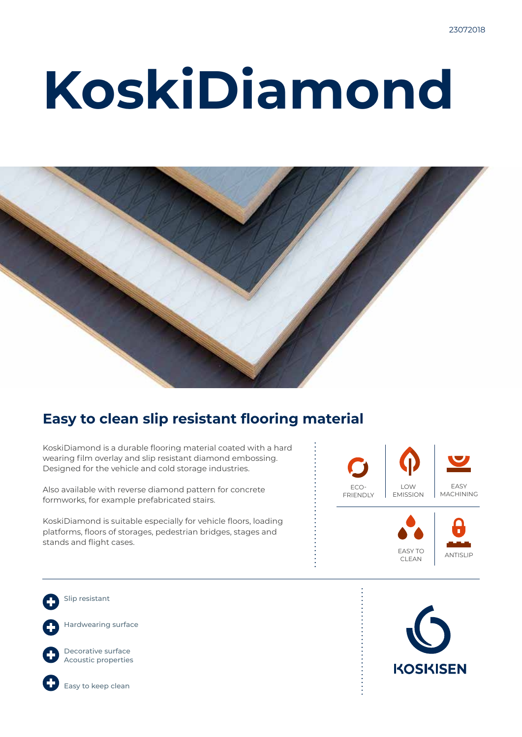# **KoskiDiamond**



### **Easy to clean slip resistant flooring material**

KoskiDiamond is a durable flooring material coated with a hard wearing film overlay and slip resistant diamond embossing. Designed for the vehicle and cold storage industries.

Also available with reverse diamond pattern for concrete formworks, for example prefabricated stairs.

KoskiDiamond is suitable especially for vehicle floors, loading platforms, floors of storages, pedestrian bridges, stages and stands and flight cases.



Slip resistant

Hardwearing surface



Decorative surface Acoustic properties



Easy to keep clean